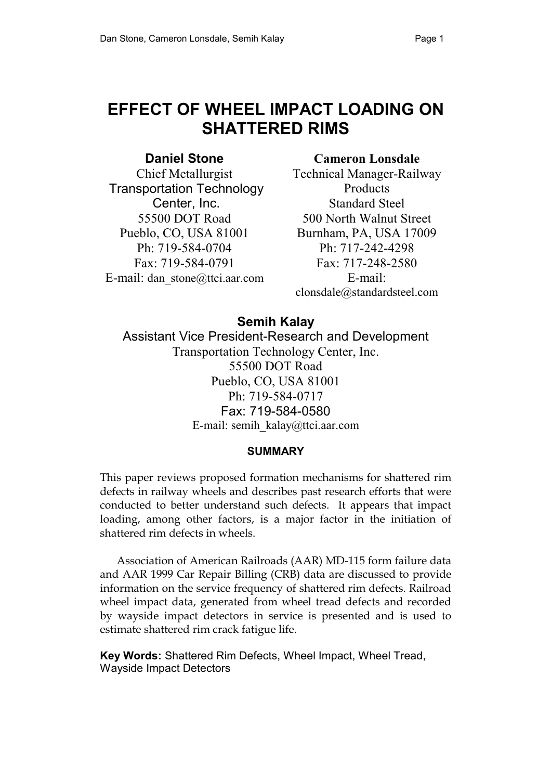# **EFFECT OF WHEEL IMPACT LOADING ON SHATTERED RIMS**

# **Daniel Stone**

Chief Metallurgist Transportation Technology Center, Inc. 55500 DOT Road Pueblo, CO, USA 81001 Ph: 719-584-0704 Fax: 719-584-0791 E-mail: dan\_stone@ttci.aar.com

# **Cameron Lonsdale**

Technical Manager-Railway **Products** Standard Steel 500 North Walnut Street Burnham, PA, USA 17009 Ph: 717-242-4298 Fax: 717-248-2580 E-mail: clonsdale@standardsteel.com

# **Semih Kalay**

Assistant Vice President-Research and Development Transportation Technology Center, Inc. 55500 DOT Road Pueblo, CO, USA 81001 Ph: 719-584-0717 Fax: 719-584-0580 E-mail: semih\_kalay@ttci.aar.com

# **SUMMARY**

This paper reviews proposed formation mechanisms for shattered rim defects in railway wheels and describes past research efforts that were conducted to better understand such defects. It appears that impact loading, among other factors, is a major factor in the initiation of shattered rim defects in wheels.

 Association of American Railroads (AAR) MD-115 form failure data and AAR 1999 Car Repair Billing (CRB) data are discussed to provide information on the service frequency of shattered rim defects. Railroad wheel impact data, generated from wheel tread defects and recorded by wayside impact detectors in service is presented and is used to estimate shattered rim crack fatigue life.

**Key Words:** Shattered Rim Defects, Wheel Impact, Wheel Tread, Wayside Impact Detectors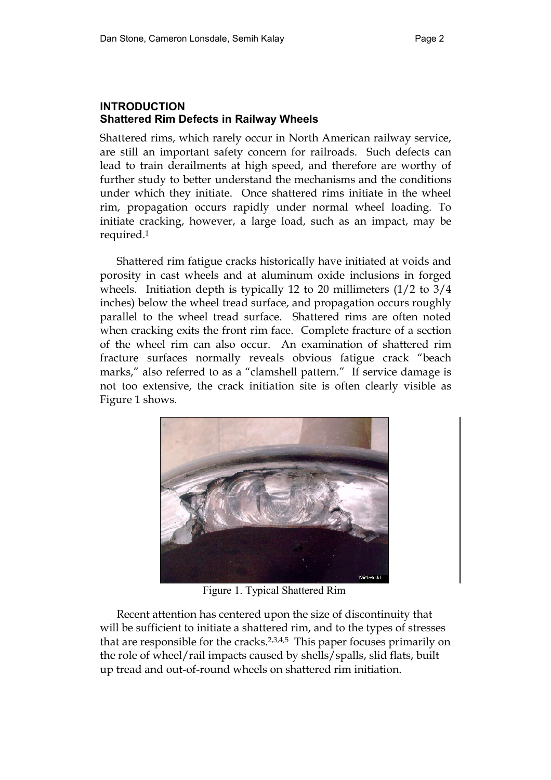# **INTRODUCTION Shattered Rim Defects in Railway Wheels**

Shattered rims, which rarely occur in North American railway service, are still an important safety concern for railroads. Such defects can lead to train derailments at high speed, and therefore are worthy of further study to better understand the mechanisms and the conditions under which they initiate. Once shattered rims initiate in the wheel rim, propagation occurs rapidly under normal wheel loading. To initiate cracking, however, a large load, such as an impact, may be required.1

 Shattered rim fatigue cracks historically have initiated at voids and porosity in cast wheels and at aluminum oxide inclusions in forged wheels. Initiation depth is typically 12 to 20 millimeters (1/2 to 3/4 inches) below the wheel tread surface, and propagation occurs roughly parallel to the wheel tread surface. Shattered rims are often noted when cracking exits the front rim face. Complete fracture of a section of the wheel rim can also occur. An examination of shattered rim fracture surfaces normally reveals obvious fatigue crack "beach marks," also referred to as a "clamshell pattern." If service damage is not too extensive, the crack initiation site is often clearly visible as Figure 1 shows.



Figure 1. Typical Shattered Rim

 Recent attention has centered upon the size of discontinuity that will be sufficient to initiate a shattered rim, and to the types of stresses that are responsible for the cracks.2,3,4,5 This paper focuses primarily on the role of wheel/rail impacts caused by shells/spalls, slid flats, built up tread and out-of-round wheels on shattered rim initiation.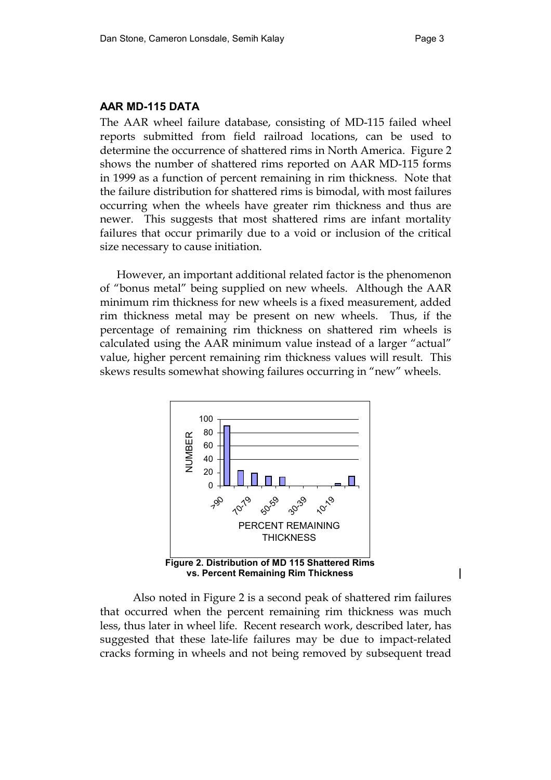#### **AAR MD-115 DATA**

The AAR wheel failure database, consisting of MD-115 failed wheel reports submitted from field railroad locations, can be used to determine the occurrence of shattered rims in North America. Figure 2 shows the number of shattered rims reported on AAR MD-115 forms in 1999 as a function of percent remaining in rim thickness. Note that the failure distribution for shattered rims is bimodal, with most failures occurring when the wheels have greater rim thickness and thus are newer. This suggests that most shattered rims are infant mortality failures that occur primarily due to a void or inclusion of the critical size necessary to cause initiation.

 However, an important additional related factor is the phenomenon of "bonus metal" being supplied on new wheels. Although the AAR minimum rim thickness for new wheels is a fixed measurement, added rim thickness metal may be present on new wheels. Thus, if the percentage of remaining rim thickness on shattered rim wheels is calculated using the AAR minimum value instead of a larger "actual" value, higher percent remaining rim thickness values will result. This skews results somewhat showing failures occurring in "new" wheels.



 Also noted in Figure 2 is a second peak of shattered rim failures that occurred when the percent remaining rim thickness was much less, thus later in wheel life. Recent research work, described later, has suggested that these late-life failures may be due to impact-related cracks forming in wheels and not being removed by subsequent tread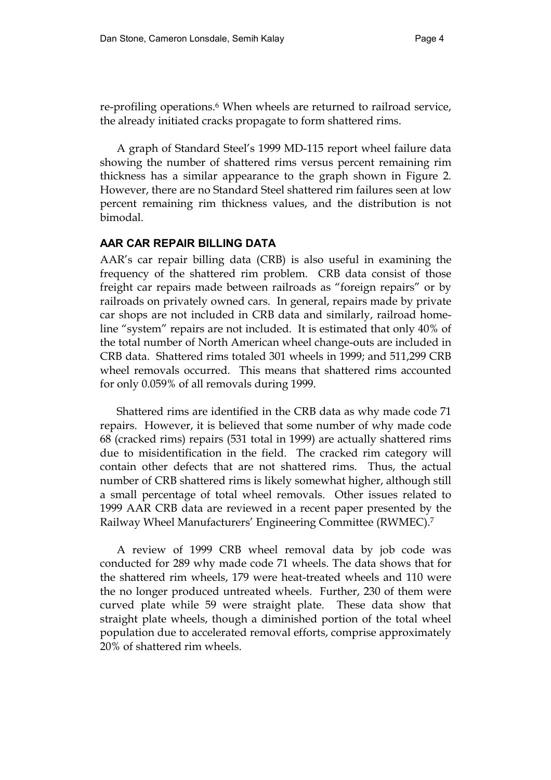re-profiling operations.6 When wheels are returned to railroad service, the already initiated cracks propagate to form shattered rims.

 A graph of Standard Steel's 1999 MD-115 report wheel failure data showing the number of shattered rims versus percent remaining rim thickness has a similar appearance to the graph shown in Figure 2. However, there are no Standard Steel shattered rim failures seen at low percent remaining rim thickness values, and the distribution is not bimodal.

## **AAR CAR REPAIR BILLING DATA**

AAR's car repair billing data (CRB) is also useful in examining the frequency of the shattered rim problem. CRB data consist of those freight car repairs made between railroads as "foreign repairs" or by railroads on privately owned cars. In general, repairs made by private car shops are not included in CRB data and similarly, railroad homeline "system" repairs are not included. It is estimated that only 40% of the total number of North American wheel change-outs are included in CRB data. Shattered rims totaled 301 wheels in 1999; and 511,299 CRB wheel removals occurred. This means that shattered rims accounted for only 0.059% of all removals during 1999.

 Shattered rims are identified in the CRB data as why made code 71 repairs. However, it is believed that some number of why made code 68 (cracked rims) repairs (531 total in 1999) are actually shattered rims due to misidentification in the field. The cracked rim category will contain other defects that are not shattered rims. Thus, the actual number of CRB shattered rims is likely somewhat higher, although still a small percentage of total wheel removals. Other issues related to 1999 AAR CRB data are reviewed in a recent paper presented by the Railway Wheel Manufacturers' Engineering Committee (RWMEC).7

 A review of 1999 CRB wheel removal data by job code was conducted for 289 why made code 71 wheels. The data shows that for the shattered rim wheels, 179 were heat-treated wheels and 110 were the no longer produced untreated wheels. Further, 230 of them were curved plate while 59 were straight plate. These data show that straight plate wheels, though a diminished portion of the total wheel population due to accelerated removal efforts, comprise approximately 20% of shattered rim wheels.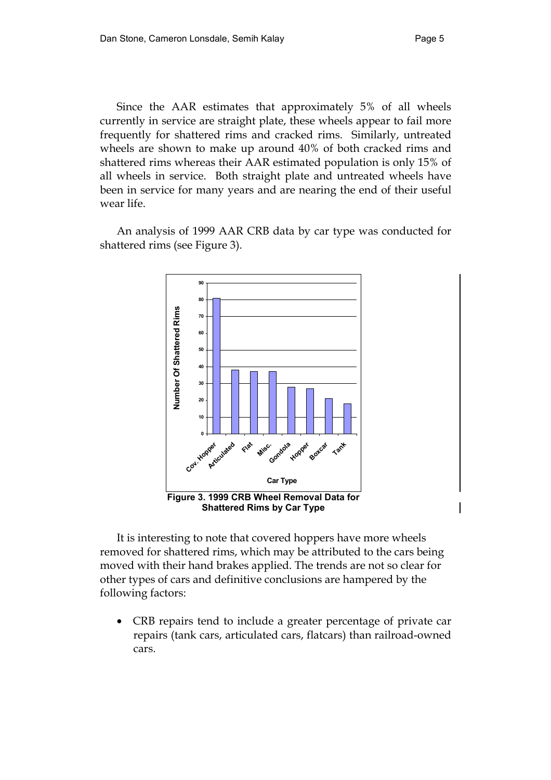Since the AAR estimates that approximately 5% of all wheels currently in service are straight plate, these wheels appear to fail more frequently for shattered rims and cracked rims. Similarly, untreated wheels are shown to make up around 40% of both cracked rims and shattered rims whereas their AAR estimated population is only 15% of all wheels in service. Both straight plate and untreated wheels have been in service for many years and are nearing the end of their useful wear life.

 An analysis of 1999 AAR CRB data by car type was conducted for shattered rims (see Figure 3).



It is interesting to note that covered hoppers have more wheels removed for shattered rims, which may be attributed to the cars being moved with their hand brakes applied. The trends are not so clear for other types of cars and definitive conclusions are hampered by the following factors:

• CRB repairs tend to include a greater percentage of private car repairs (tank cars, articulated cars, flatcars) than railroad-owned cars.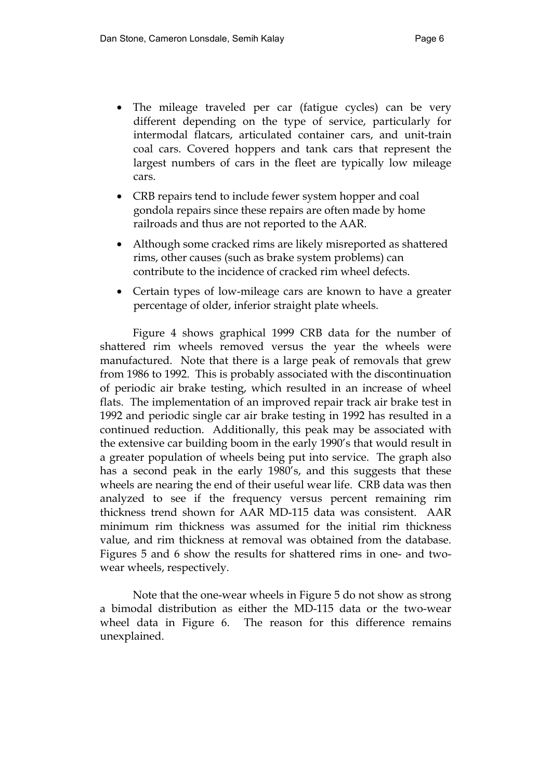- The mileage traveled per car (fatigue cycles) can be very different depending on the type of service, particularly for intermodal flatcars, articulated container cars, and unit-train coal cars. Covered hoppers and tank cars that represent the largest numbers of cars in the fleet are typically low mileage cars.
- CRB repairs tend to include fewer system hopper and coal gondola repairs since these repairs are often made by home railroads and thus are not reported to the AAR.
- Although some cracked rims are likely misreported as shattered rims, other causes (such as brake system problems) can contribute to the incidence of cracked rim wheel defects.
- Certain types of low-mileage cars are known to have a greater percentage of older, inferior straight plate wheels.

 Figure 4 shows graphical 1999 CRB data for the number of shattered rim wheels removed versus the year the wheels were manufactured. Note that there is a large peak of removals that grew from 1986 to 1992. This is probably associated with the discontinuation of periodic air brake testing, which resulted in an increase of wheel flats. The implementation of an improved repair track air brake test in 1992 and periodic single car air brake testing in 1992 has resulted in a continued reduction. Additionally, this peak may be associated with the extensive car building boom in the early 1990's that would result in a greater population of wheels being put into service. The graph also has a second peak in the early 1980's, and this suggests that these wheels are nearing the end of their useful wear life. CRB data was then analyzed to see if the frequency versus percent remaining rim thickness trend shown for AAR MD-115 data was consistent. AAR minimum rim thickness was assumed for the initial rim thickness value, and rim thickness at removal was obtained from the database. Figures 5 and 6 show the results for shattered rims in one- and twowear wheels, respectively.

Note that the one-wear wheels in Figure 5 do not show as strong a bimodal distribution as either the MD-115 data or the two-wear wheel data in Figure 6. The reason for this difference remains unexplained.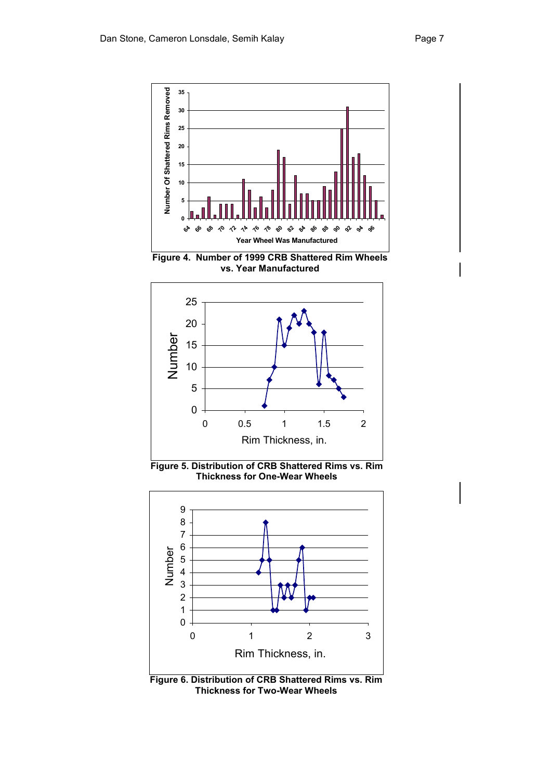

**Figure 4. Number of 1999 CRB Shattered Rim Wheels vs. Year Manufactured** 



**Figure 5. Distribution of CRB Shattered Rims vs. Rim Thickness for One-Wear Wheels** 



**Figure 6. Distribution of CRB Shattered Rims vs. Rim Thickness for Two-Wear Wheels**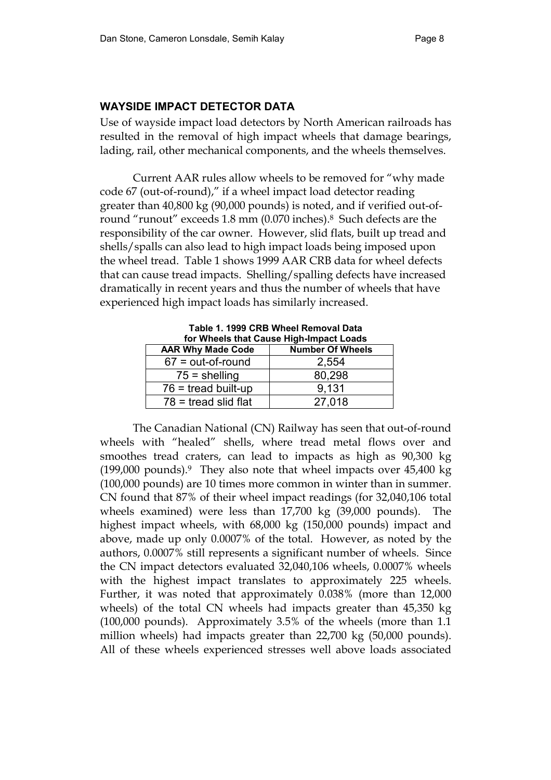# **WAYSIDE IMPACT DETECTOR DATA**

Use of wayside impact load detectors by North American railroads has resulted in the removal of high impact wheels that damage bearings, lading, rail, other mechanical components, and the wheels themselves.

 Current AAR rules allow wheels to be removed for "why made code 67 (out-of-round)," if a wheel impact load detector reading greater than 40,800 kg (90,000 pounds) is noted, and if verified out-ofround "runout" exceeds 1.8 mm (0.070 inches).8 Such defects are the responsibility of the car owner. However, slid flats, built up tread and shells/spalls can also lead to high impact loads being imposed upon the wheel tread. Table 1 shows 1999 AAR CRB data for wheel defects that can cause tread impacts. Shelling/spalling defects have increased dramatically in recent years and thus the number of wheels that have experienced high impact loads has similarly increased.

| TADIG T. 1999 UND WITCH REIHOVAL DATA<br>for Wheels that Cause High-Impact Loads |                         |  |  |
|----------------------------------------------------------------------------------|-------------------------|--|--|
| <b>AAR Why Made Code</b>                                                         | <b>Number Of Wheels</b> |  |  |
| $67 = out-of-round$                                                              | 2,554                   |  |  |
| $75 =$ shelling                                                                  | 80,298                  |  |  |
| $76$ = tread built-up                                                            | 9.131                   |  |  |
| $78$ = tread slid flat                                                           | 27,018                  |  |  |

**Table 1. 1999 CRB Wheel Removal Data** 

 The Canadian National (CN) Railway has seen that out-of-round wheels with "healed" shells, where tread metal flows over and smoothes tread craters, can lead to impacts as high as 90,300 kg  $(199,000 \text{ pounds})$ .<sup>9</sup> They also note that wheel impacts over  $45,400 \text{ kg}$ (100,000 pounds) are 10 times more common in winter than in summer. CN found that 87% of their wheel impact readings (for 32,040,106 total wheels examined) were less than 17,700 kg (39,000 pounds). The highest impact wheels, with 68,000 kg (150,000 pounds) impact and above, made up only 0.0007% of the total. However, as noted by the authors, 0.0007% still represents a significant number of wheels. Since the CN impact detectors evaluated 32,040,106 wheels, 0.0007% wheels with the highest impact translates to approximately 225 wheels. Further, it was noted that approximately 0.038% (more than 12,000 wheels) of the total CN wheels had impacts greater than 45,350 kg (100,000 pounds). Approximately 3.5% of the wheels (more than 1.1 million wheels) had impacts greater than 22,700 kg (50,000 pounds). All of these wheels experienced stresses well above loads associated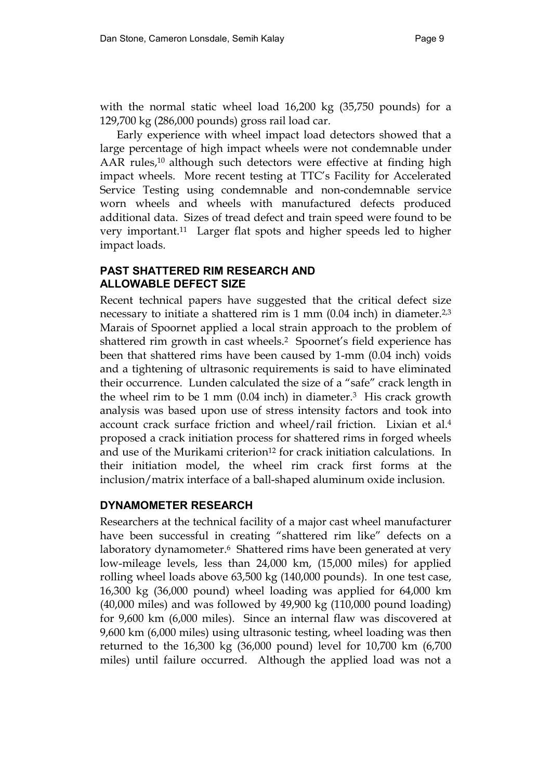with the normal static wheel load 16,200 kg (35,750 pounds) for a 129,700 kg (286,000 pounds) gross rail load car.

 Early experience with wheel impact load detectors showed that a large percentage of high impact wheels were not condemnable under AAR rules,<sup>10</sup> although such detectors were effective at finding high impact wheels. More recent testing at TTC's Facility for Accelerated Service Testing using condemnable and non-condemnable service worn wheels and wheels with manufactured defects produced additional data. Sizes of tread defect and train speed were found to be very important.11 Larger flat spots and higher speeds led to higher impact loads.

# **PAST SHATTERED RIM RESEARCH AND ALLOWABLE DEFECT SIZE**

Recent technical papers have suggested that the critical defect size necessary to initiate a shattered rim is 1 mm (0.04 inch) in diameter.<sup>2,3</sup> Marais of Spoornet applied a local strain approach to the problem of shattered rim growth in cast wheels.<sup>2</sup> Spoornet's field experience has been that shattered rims have been caused by 1-mm (0.04 inch) voids and a tightening of ultrasonic requirements is said to have eliminated their occurrence. Lunden calculated the size of a "safe" crack length in the wheel rim to be 1 mm  $(0.04 \text{ inch})$  in diameter.<sup>3</sup> His crack growth analysis was based upon use of stress intensity factors and took into account crack surface friction and wheel/rail friction. Lixian et al.4 proposed a crack initiation process for shattered rims in forged wheels and use of the Murikami criterion<sup>12</sup> for crack initiation calculations. In their initiation model, the wheel rim crack first forms at the inclusion/matrix interface of a ball-shaped aluminum oxide inclusion.

## **DYNAMOMETER RESEARCH**

Researchers at the technical facility of a major cast wheel manufacturer have been successful in creating "shattered rim like" defects on a laboratory dynamometer.<sup>6</sup> Shattered rims have been generated at very low-mileage levels, less than 24,000 km, (15,000 miles) for applied rolling wheel loads above 63,500 kg (140,000 pounds). In one test case, 16,300 kg (36,000 pound) wheel loading was applied for 64,000 km (40,000 miles) and was followed by 49,900 kg (110,000 pound loading) for 9,600 km (6,000 miles). Since an internal flaw was discovered at 9,600 km (6,000 miles) using ultrasonic testing, wheel loading was then returned to the 16,300 kg (36,000 pound) level for 10,700 km (6,700 miles) until failure occurred. Although the applied load was not a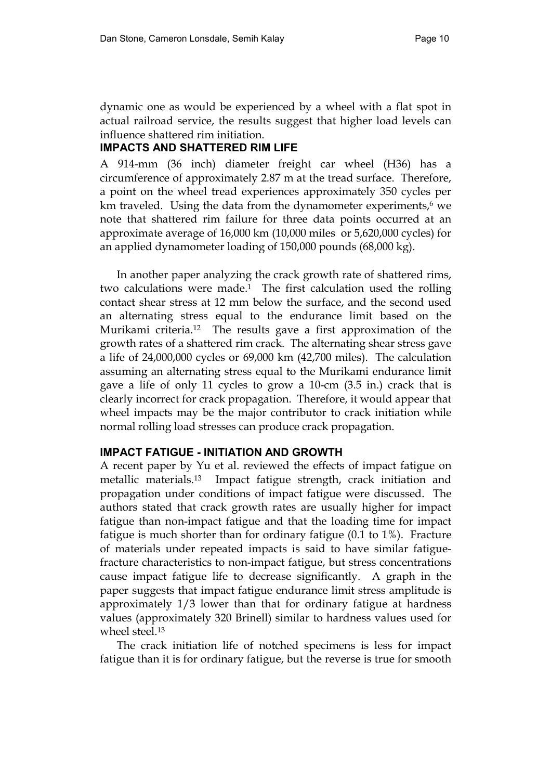dynamic one as would be experienced by a wheel with a flat spot in actual railroad service, the results suggest that higher load levels can influence shattered rim initiation.

## **IMPACTS AND SHATTERED RIM LIFE**

A 914-mm (36 inch) diameter freight car wheel (H36) has a circumference of approximately 2.87 m at the tread surface. Therefore, a point on the wheel tread experiences approximately 350 cycles per km traveled. Using the data from the dynamometer experiments, $6 \text{ we}$ note that shattered rim failure for three data points occurred at an approximate average of 16,000 km (10,000 miles or 5,620,000 cycles) for an applied dynamometer loading of 150,000 pounds (68,000 kg).

 In another paper analyzing the crack growth rate of shattered rims, two calculations were made.1 The first calculation used the rolling contact shear stress at 12 mm below the surface, and the second used an alternating stress equal to the endurance limit based on the Murikami criteria.12 The results gave a first approximation of the growth rates of a shattered rim crack. The alternating shear stress gave a life of 24,000,000 cycles or 69,000 km (42,700 miles). The calculation assuming an alternating stress equal to the Murikami endurance limit gave a life of only 11 cycles to grow a 10-cm (3.5 in.) crack that is clearly incorrect for crack propagation. Therefore, it would appear that wheel impacts may be the major contributor to crack initiation while normal rolling load stresses can produce crack propagation.

## **IMPACT FATIGUE - INITIATION AND GROWTH**

A recent paper by Yu et al. reviewed the effects of impact fatigue on metallic materials.13 Impact fatigue strength, crack initiation and propagation under conditions of impact fatigue were discussed. The authors stated that crack growth rates are usually higher for impact fatigue than non-impact fatigue and that the loading time for impact fatigue is much shorter than for ordinary fatigue (0.1 to 1%). Fracture of materials under repeated impacts is said to have similar fatiguefracture characteristics to non-impact fatigue, but stress concentrations cause impact fatigue life to decrease significantly. A graph in the paper suggests that impact fatigue endurance limit stress amplitude is approximately 1/3 lower than that for ordinary fatigue at hardness values (approximately 320 Brinell) similar to hardness values used for wheel steel.13

 The crack initiation life of notched specimens is less for impact fatigue than it is for ordinary fatigue, but the reverse is true for smooth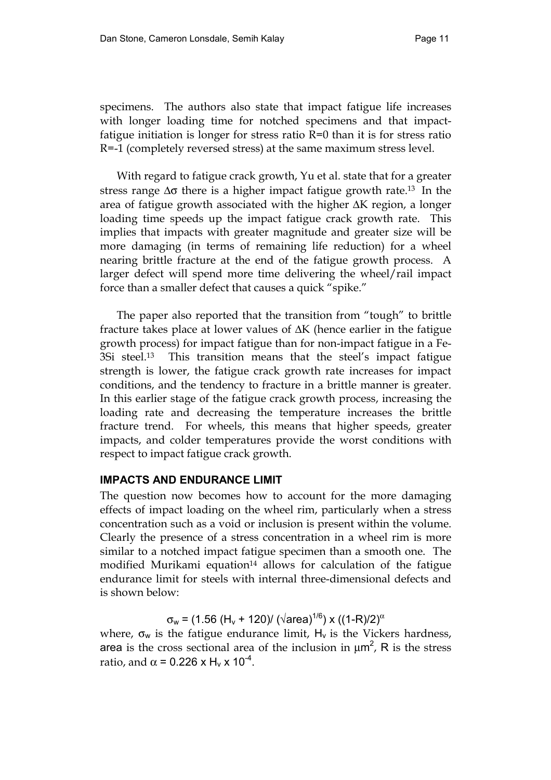specimens. The authors also state that impact fatigue life increases with longer loading time for notched specimens and that impactfatigue initiation is longer for stress ratio  $R=0$  than it is for stress ratio R=-1 (completely reversed stress) at the same maximum stress level.

 With regard to fatigue crack growth, Yu et al. state that for a greater stress range ∆σ there is a higher impact fatigue growth rate.13 In the area of fatigue growth associated with the higher ∆K region, a longer loading time speeds up the impact fatigue crack growth rate. This implies that impacts with greater magnitude and greater size will be more damaging (in terms of remaining life reduction) for a wheel nearing brittle fracture at the end of the fatigue growth process. A larger defect will spend more time delivering the wheel/rail impact force than a smaller defect that causes a quick "spike."

 The paper also reported that the transition from "tough" to brittle fracture takes place at lower values of ∆K (hence earlier in the fatigue growth process) for impact fatigue than for non-impact fatigue in a Fe-3Si steel.13 This transition means that the steel's impact fatigue strength is lower, the fatigue crack growth rate increases for impact conditions, and the tendency to fracture in a brittle manner is greater. In this earlier stage of the fatigue crack growth process, increasing the loading rate and decreasing the temperature increases the brittle fracture trend. For wheels, this means that higher speeds, greater impacts, and colder temperatures provide the worst conditions with respect to impact fatigue crack growth.

## **IMPACTS AND ENDURANCE LIMIT**

The question now becomes how to account for the more damaging effects of impact loading on the wheel rim, particularly when a stress concentration such as a void or inclusion is present within the volume. Clearly the presence of a stress concentration in a wheel rim is more similar to a notched impact fatigue specimen than a smooth one. The modified Murikami equation<sup>14</sup> allows for calculation of the fatigue endurance limit for steels with internal three-dimensional defects and is shown below:

 $σ_w = (1.56 (H_v + 120) / (\sqrt{area})^{1/6}) \times ((1-R)/2)^{\alpha}$ 

where,  $\sigma_w$  is the fatigue endurance limit,  $H_v$  is the Vickers hardness, area is the cross sectional area of the inclusion in  $\mu$ m<sup>2</sup>, R is the stress ratio, and  $\alpha$  = 0.226 x H<sub>v</sub> x 10<sup>-4</sup>.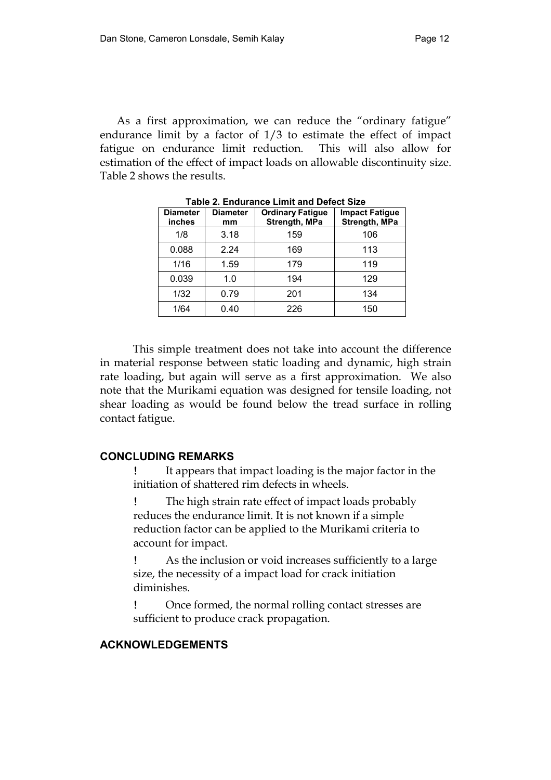As a first approximation, we can reduce the "ordinary fatigue" endurance limit by a factor of 1/3 to estimate the effect of impact fatigue on endurance limit reduction. This will also allow for estimation of the effect of impact loads on allowable discontinuity size. Table 2 shows the results.

| <b>Diameter</b><br><b>inches</b> | <b>Diameter</b><br>mm | <b>Ordinary Fatigue</b><br>Strength, MPa | <b>Impact Fatigue</b><br>Strength, MPa |
|----------------------------------|-----------------------|------------------------------------------|----------------------------------------|
| 1/8                              | 3.18                  | 159                                      | 106                                    |
| 0.088                            | 2.24                  | 169                                      | 113                                    |
| 1/16                             | 1.59                  | 179                                      | 119                                    |
| 0.039                            | 1.0                   | 194                                      | 129                                    |
| 1/32                             | 0.79                  | 201                                      | 134                                    |
| 1/64                             | 0.40                  | 226                                      | 150                                    |

**Table 2. Endurance Limit and Defect Size**

 This simple treatment does not take into account the difference in material response between static loading and dynamic, high strain rate loading, but again will serve as a first approximation. We also note that the Murikami equation was designed for tensile loading, not shear loading as would be found below the tread surface in rolling contact fatigue.

#### **CONCLUDING REMARKS**

It appears that impact loading is the major factor in the initiation of shattered rim defects in wheels.

! The high strain rate effect of impact loads probably reduces the endurance limit. It is not known if a simple reduction factor can be applied to the Murikami criteria to account for impact.

! As the inclusion or void increases sufficiently to a large size, the necessity of a impact load for crack initiation diminishes.

! Once formed, the normal rolling contact stresses are sufficient to produce crack propagation.

## **ACKNOWLEDGEMENTS**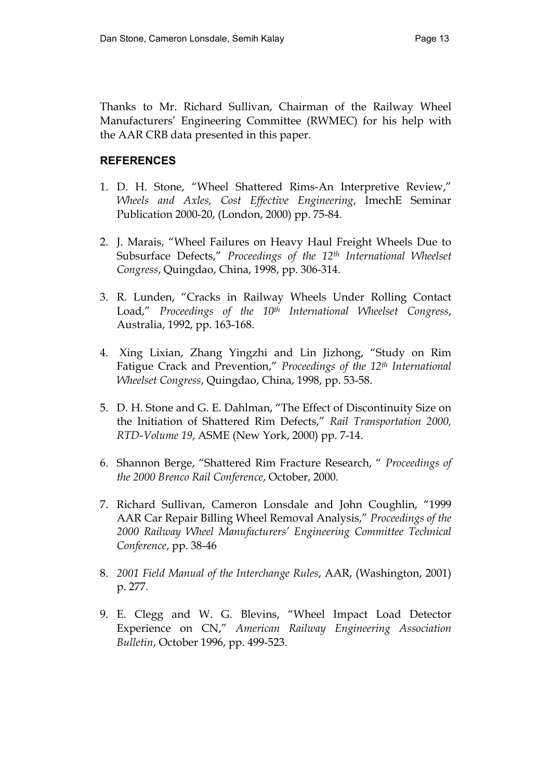Thanks to Mr. Richard Sullivan, Chairman of the Railway Wheel Manufacturers' Engineering Committee (RWMEC) for his help with the AAR CRB data presented in this paper.

# **REFERENCES**

- 1. D. H. Stone, "Wheel Shattered Rims-An Interpretive Review," *Wheels and Axles, Cost Effective Engineering*, ImechE Seminar Publication 2000-20, (London, 2000) pp. 75-84.
- 2. J. Marais, "Wheel Failures on Heavy Haul Freight Wheels Due to Subsurface Defects," *Proceedings of the 12th International Wheelset Congress*, Quingdao, China, 1998, pp. 306-314.
- 3. R. Lunden, "Cracks in Railway Wheels Under Rolling Contact Load," *Proceedings of the 10th International Wheelset Congress*, Australia, 1992, pp. 163-168.
- 4. Xing Lixian, Zhang Yingzhi and Lin Jizhong, "Study on Rim Fatigue Crack and Prevention," *Proceedings of the 12th International Wheelset Congress*, Quingdao, China, 1998, pp. 53-58.
- 5. D. H. Stone and G. E. Dahlman, "The Effect of Discontinuity Size on the Initiation of Shattered Rim Defects," *Rail Transportation 2000, RTD-Volume 19*, ASME (New York, 2000) pp. 7-14.
- 6. Shannon Berge, "Shattered Rim Fracture Research, " *Proceedings of the 2000 Brenco Rail Conference*, October, 2000.
- 7. Richard Sullivan, Cameron Lonsdale and John Coughlin, "1999 AAR Car Repair Billing Wheel Removal Analysis," *Proceedings of the 2000 Railway Wheel Manufacturers' Engineering Committee Technical Conference*, pp. 38-46
- 8. *2001 Field Manual of the Interchange Rules*, AAR, (Washington, 2001) p. 277.
- 9. E. Clegg and W. G. Blevins, "Wheel Impact Load Detector Experience on CN," *American Railway Engineering Association Bulletin*, October 1996, pp. 499-523.